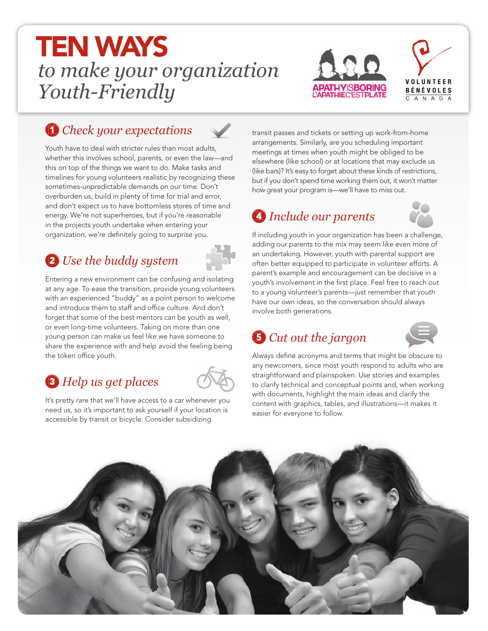# *to make your organization Youth-Friendly* TEN WAYS





#### 1 *Check your expectations*



Youth have to deal with stricter rules than most adults, whether this involves school, parents, or even the law—and this on top of the things we want to do. Make tasks and timelines for young volunteers realistic by recognizing these sometimes-unpredictable demands on our time. Don't overburden us, build in plenty of time for trial and error, and don't expect us to have bottomless stores of time and energy. We're not superheroes, but if you're reasonable in the projects youth undertake when entering your organization, we're definitely going to surprise you.

### 2 *Use the buddy system*

Entering a new environment can be confusing and isolating at any age. To ease the transition, provide young volunteers with an experienced "buddy" as a point person to welcome and introduce them to staff and office culture. And don't forget that some of the best mentors can be youth as well, or even long-time volunteers. Taking on more than one young person can make us feel like we have someone to share the experience with and help avoid the feeling being the token office youth.

### 3 *Help us get places*



It's pretty rare that we'll have access to a car whenever you need us, so it's important to ask yourself if your location is accessible by transit or bicycle. Consider subsidizing

transit passes and tickets or setting up work-from-home arrangements. Similarly, are you scheduling important meetings at times when youth might be obliged to be elsewhere (like school) or at locations that may exclude us (like bars)? It's easy to forget about these kinds of restrictions, but if you don't spend time working them out, it won't matter how great your program is—we'll have to miss out.

## 4 *Include our parents*



If including youth in your organization has been a challenge, adding our parents to the mix may seem like even more of an undertaking. However, youth with parental support are often better equipped to participate in volunteer efforts. A parent's example and encouragement can be decisive in a youth's involvement in the first place. Feel free to reach out to a young volunteer's parents—just remember that youth have our own ideas, so the conversation should always involve both generations.

### 5 *Cut out the jargon*



Always define acronyms and terms that might be obscure to any newcomers, since most youth respond to adults who are straightforward and plainspoken. Use stories and examples to clarify technical and conceptual points and, when working with documents, highlight the main ideas and clarify the content with graphics, tables, and illustrations—it makes it easier for everyone to follow.